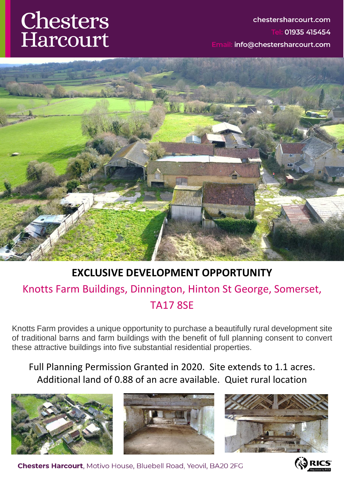# Chesters Harcourt

### chestersharcourt.com Tel: 01935 415454 info@chestersharcourt.com



### **EXCLUSIVE DEVELOPMENT OPPORTUNITY**

### Knotts Farm Buildings, Dinnington, Hinton St George, Somerset, TA17 8SE

Knotts Farm provides a unique opportunity to purchase a beautifully rural development site of traditional barns and farm buildings with the benefit of full planning consent to convert these attractive buildings into five substantial residential properties.

Full Planning Permission Granted in 2020. Site extends to 1.1 acres. Additional land of 0.88 of an acre available. Quiet rural location







**Chesters Harcourt.** Motivo House, Bluebell Road, Yeovil, BA20 2FG

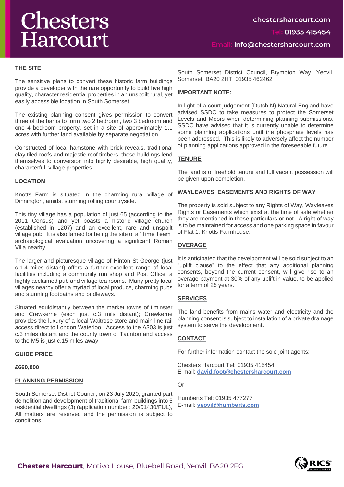## Chesters Harcourt

#### **THE SITE**

The sensitive plans to convert these historic farm buildings provide a developer with the rare opportunity to build five high quality, character residential properties in an unspoilt rural, yet easily accessible location in South Somerset.

The existing planning consent gives permission to convert three of the barns to form two 2 bedroom, two 3 bedroom and one 4 bedroom property, set in a site of approximately 1.1 acres with further land available by separate negotiation.

Constructed of local hamstone with brick reveals, traditional clay tiled roofs and majestic roof timbers, these buildings lend themselves to conversion into highly desirable, high quality, characterful, village properties.

#### **LOCATION**

Knotts Farm is situated in the charming rural village of Dinnington, amidst stunning rolling countryside.

This tiny village has a population of just 65 (according to the 2011 Census) and yet boasts a historic village church (established in 1207) and an excellent, rare and unspoilt village pub. It is also famed for being the site of a "Time Team" archaeological evaluation uncovering a significant Roman Villa nearby.

The larger and picturesque village of Hinton St George (just c.1.4 miles distant) offers a further excellent range of local facilities including a community run shop and Post Office, a highly acclaimed pub and village tea rooms. Many pretty local villages nearby offer a myriad of local produce, charming pubs and stunning footpaths and bridleways.

Situated equidistantly between the market towns of Ilminster and Crewkerne (each just c.3 mils distant); Crewkerne provides the luxury of a local Waitrose store and main line rail access direct to London Waterloo. Access to the A303 is just c.3 miles distant and the county town of Taunton and access to the M5 is just c.15 miles away.

#### **GUIDE PRICE**

**£660,000**

#### **PLANNING PERMISSION**

South Somerset District Council, on 23 July 2020, granted part demolition and development of traditional farm buildings into 5 residential dwellings (3) (application number : 20/01430/FUL), All matters are reserved and the permission is subject to conditions.

South Somerset District Council, Brympton Way, Yeovil, Somerset, BA20 2HT 01935 462462

#### **IMPORTANT NOTE:**

In light of a court judgement (Dutch N) Natural England have advised SSDC to take measures to protect the Somerset Levels and Moors when determining planning submissions. SSDC have advised that it is currently unable to determine some planning applications until the phosphate levels has been addressed. This is likely to adversely affect the number of planning applications approved in the foreseeable future.

#### **TENURE**

The land is of freehold tenure and full vacant possession will be given upon completion.

#### **WAYLEAVES, EASEMENTS AND RIGHTS OF WAY**

The property is sold subject to any Rights of Way, Wayleaves Rights or Easements which exist at the time of sale whether they are mentioned in these particulars or not. A right of way is to be maintained for access and one parking space in favour of Flat 1, Knotts Farmhouse.

#### **OVERAGE**

It is anticipated that the development will be sold subject to an "uplift clause" to the effect that any additional planning consents, beyond the current consent, will give rise to an overage payment at 30% of any uplift in value, to be applied for a term of 25 years.

#### **SERVICES**

The land benefits from mains water and electricity and the planning consent is subject to installation of a private drainage system to serve the development.

#### **CONTACT**

For further information contact the sole joint agents:

Chesters Harcourt Tel: 01935 415454 E-mail: **[david.foot@chestersharcourt.com](mailto:david.foot@chestersharcourt.com)**

Or

Humberts Tel: 01935 477277 E-mail: **[yeovil@humberts.com](mailto:yeovil@humberts.com)**